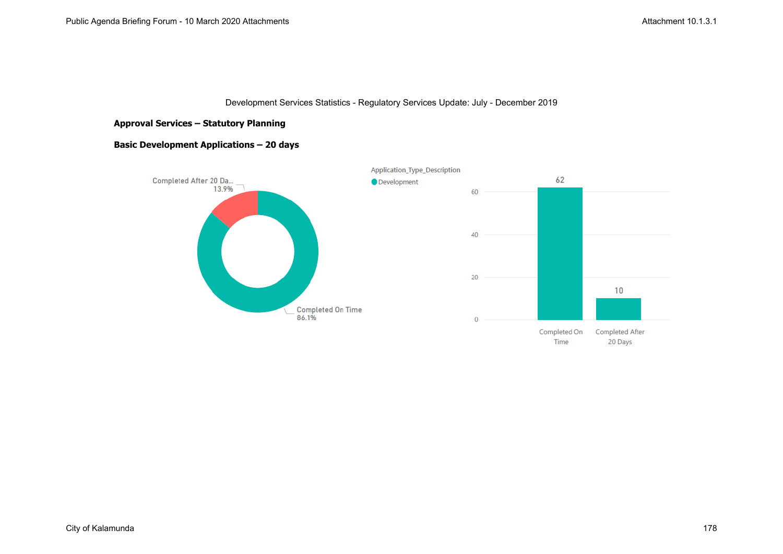### **Approval Services – Statutory Planning**

# **Basic Development Applications – 20 days**

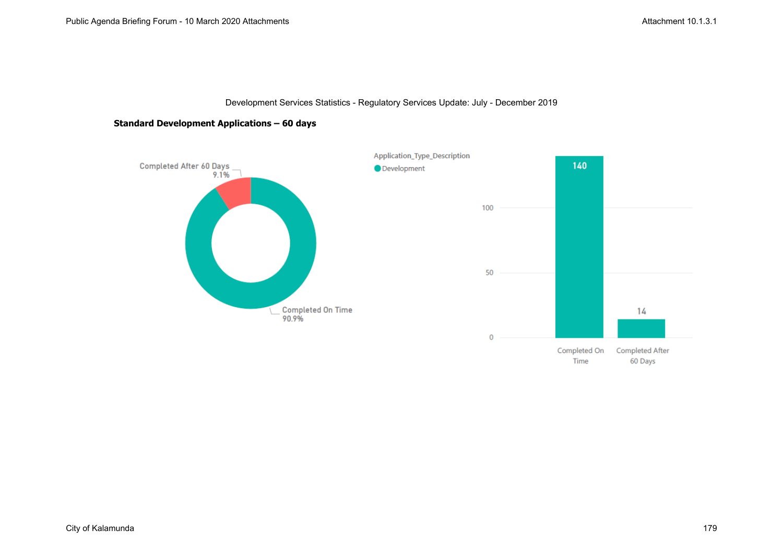

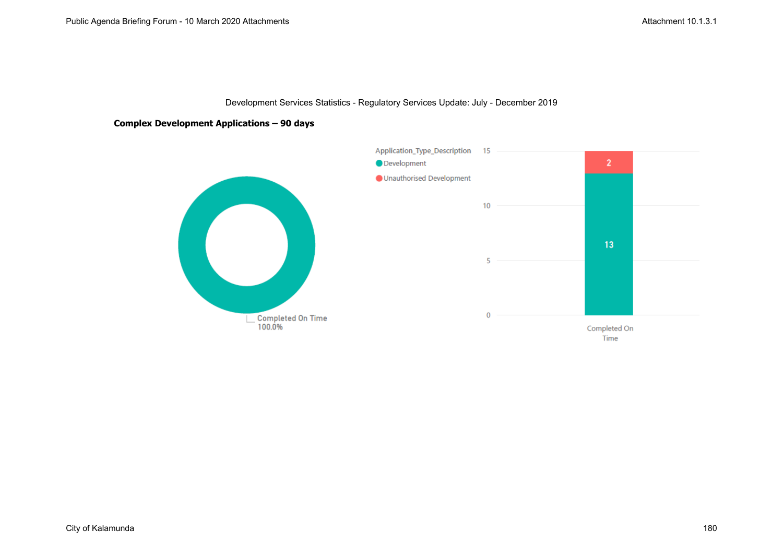### **Complex Development Applications – 90 days**

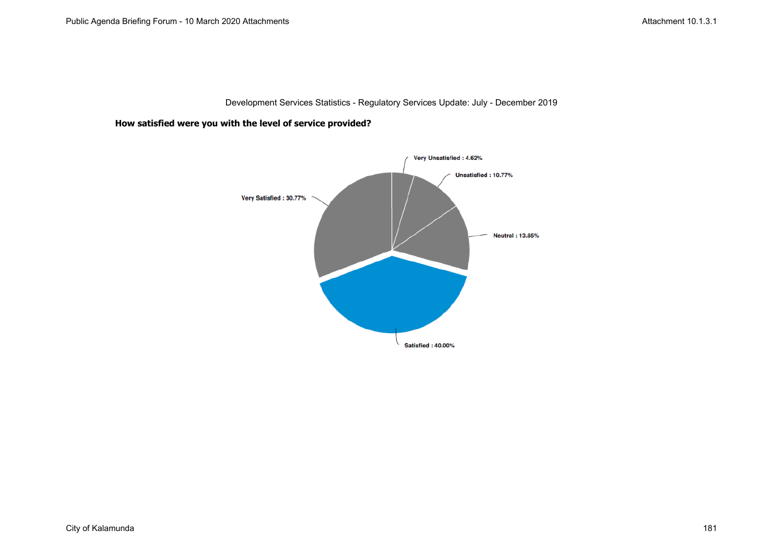**How satisfied were you with the level of service provided?**

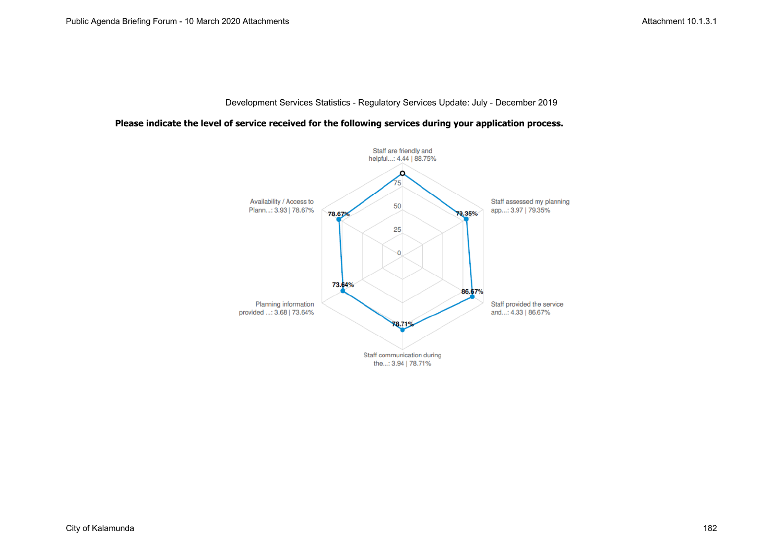#### **Please indicate the level of service received for the following services during your application process.**

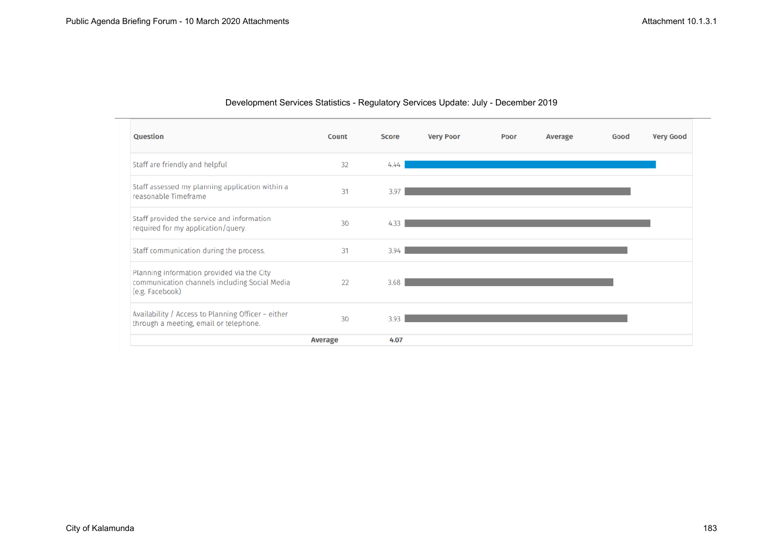| Question                                                                                                       | Count          | <b>Score</b> | <b>Very Poor</b> | Poor | Average | Good | <b>Very Good</b> |
|----------------------------------------------------------------------------------------------------------------|----------------|--------------|------------------|------|---------|------|------------------|
| Staff are friendly and helpful                                                                                 | 32             | 4.44         |                  |      |         |      |                  |
| Staff assessed my planning application within a<br>reasonable Timeframe                                        | 31             | 3.97         |                  |      |         |      |                  |
| Staff provided the service and information<br>required for my application/query.                               | 30             | 4.33         |                  |      |         |      |                  |
| Staff communication during the process.                                                                        | 31             | 3.94         |                  |      |         |      |                  |
| Planning information provided via the City<br>communication channels including Social Media<br>(e.g. Facebook) | 22             | 3.68         |                  |      |         |      |                  |
| Availability / Access to Planning Officer - either<br>through a meeting, email or telephone.                   | 30             | 3.93         |                  |      |         |      |                  |
|                                                                                                                | <b>Average</b> | 4.07         |                  |      |         |      |                  |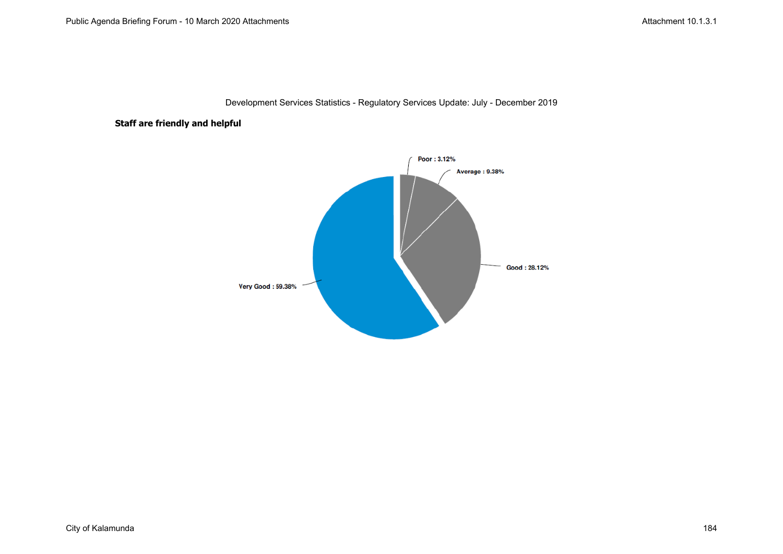### **Staff are friendly and helpful**

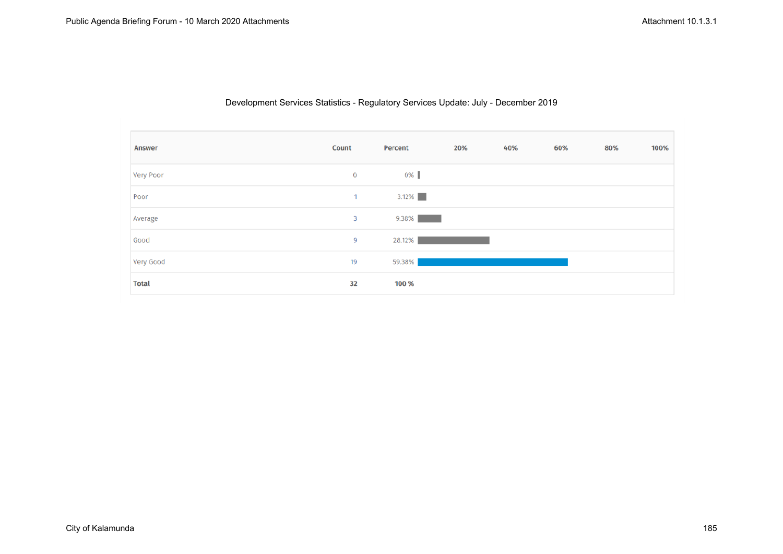| <b>Answer</b> | Count        | Percent  | 20% | 40% | 60% | 80% | 100% |
|---------------|--------------|----------|-----|-----|-----|-----|------|
| Very Poor     | $\mathbf{0}$ | 0%       |     |     |     |     |      |
| Poor          | $\mathbf{1}$ | $3.12\%$ |     |     |     |     |      |
| Average       | 3            | 9.38%    |     |     |     |     |      |
| Good          | 9            | 28.12%   |     |     |     |     |      |
| Very Good     | 19           | 59.38%   |     |     |     |     |      |
| <b>Total</b>  | 32           | 100 %    |     |     |     |     |      |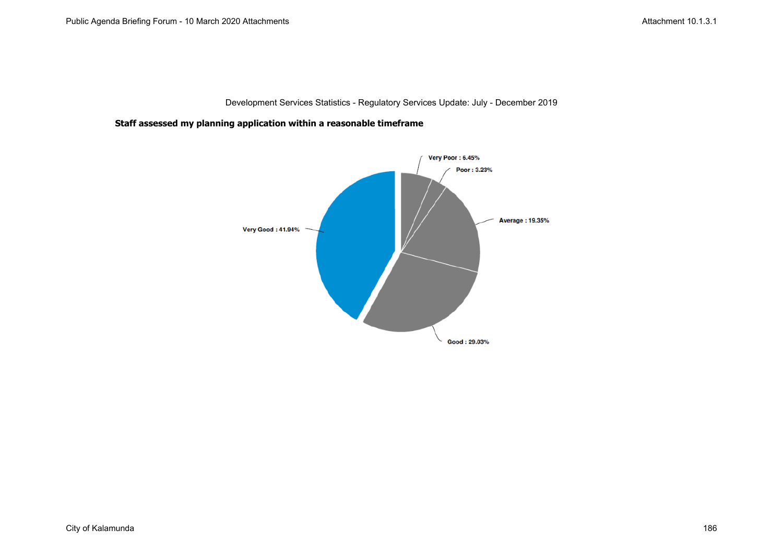**Staff assessed my planning application within a reasonable timeframe**

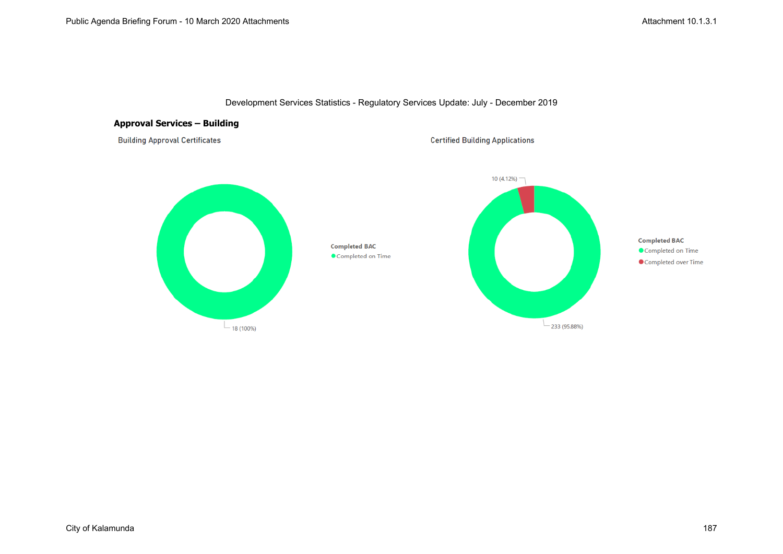

### **Approval Services – Building**

**Building Approval Certificates** 

**Certified Building Applications** 

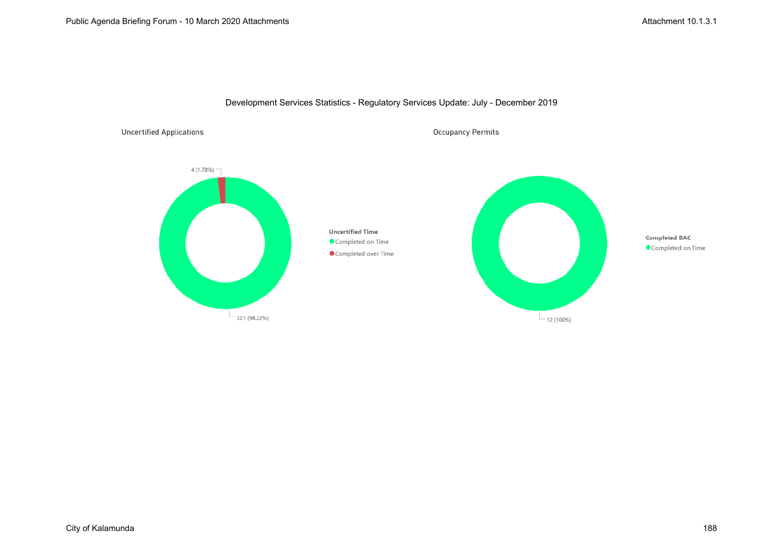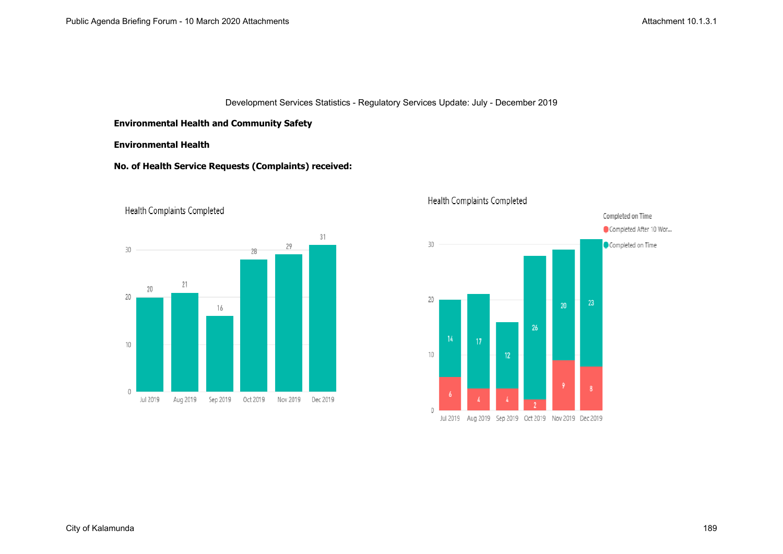### **Environmental Health and Community Safety**

### **Environmental Health**

# **No. of Health Service Requests (Complaints) received:**



Health Complaints Completed



# Health Complaints Completed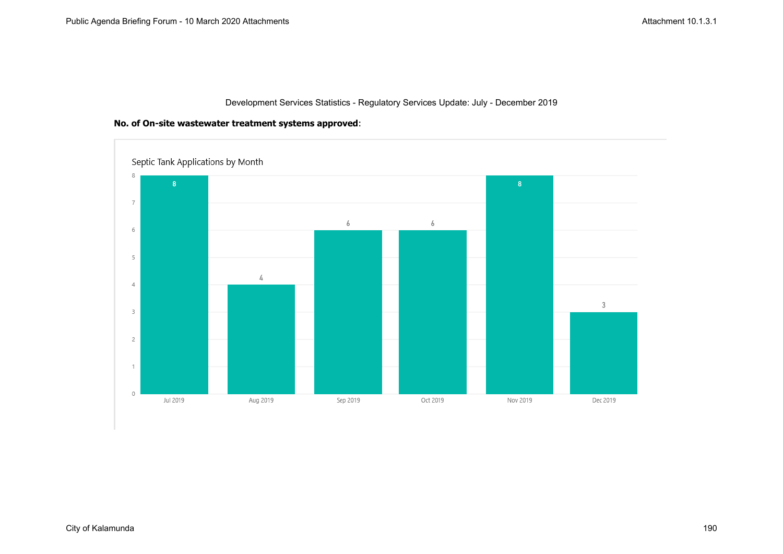### **No. of On-site wastewater treatment systems approved**:

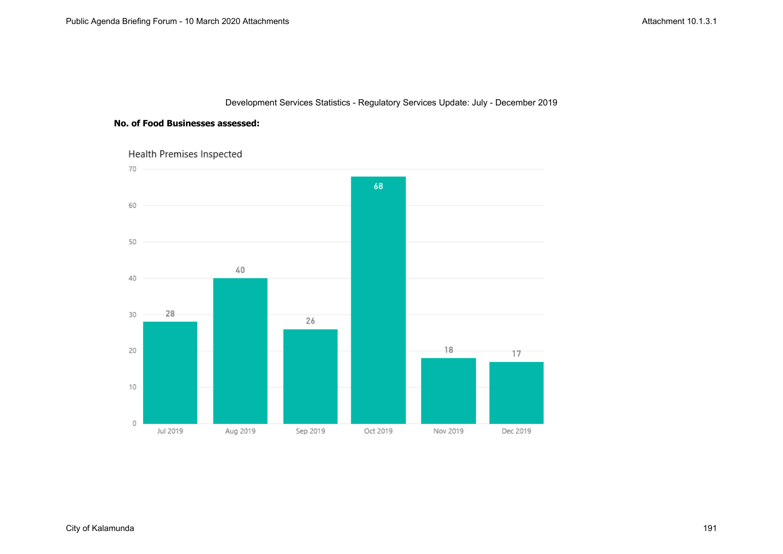#### **No. of Food Businesses assessed:**



Health Premises Inspected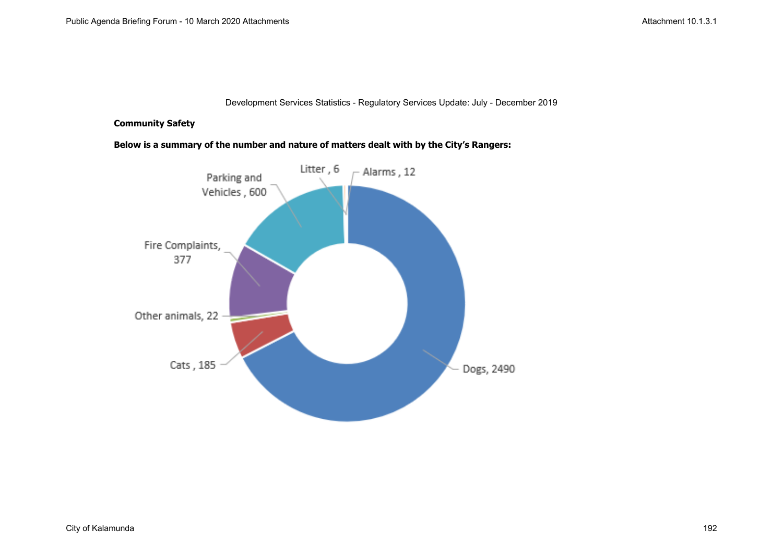### **Community Safety**

**Below is a summary of the number and nature of matters dealt with by the City's Rangers:**

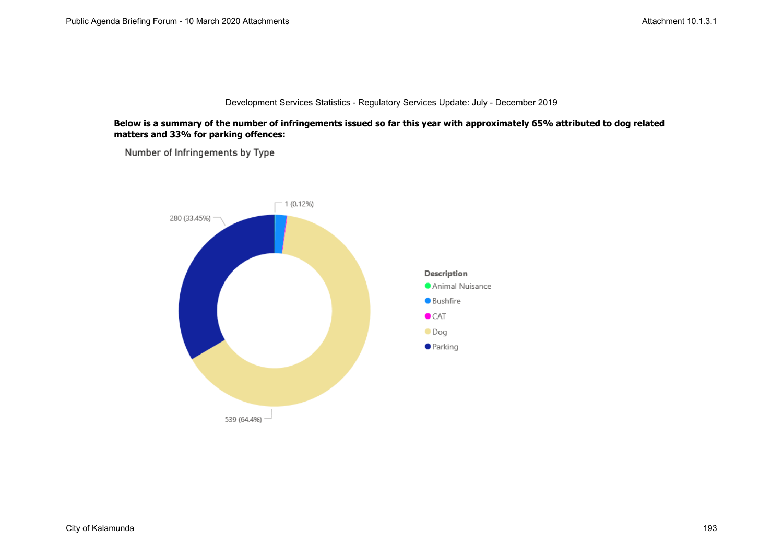#### **Below is a summary of the number of infringements issued so far this year with approximately 65% attributed to dog related matters and 33% for parking offences:**

Number of Infringements by Type